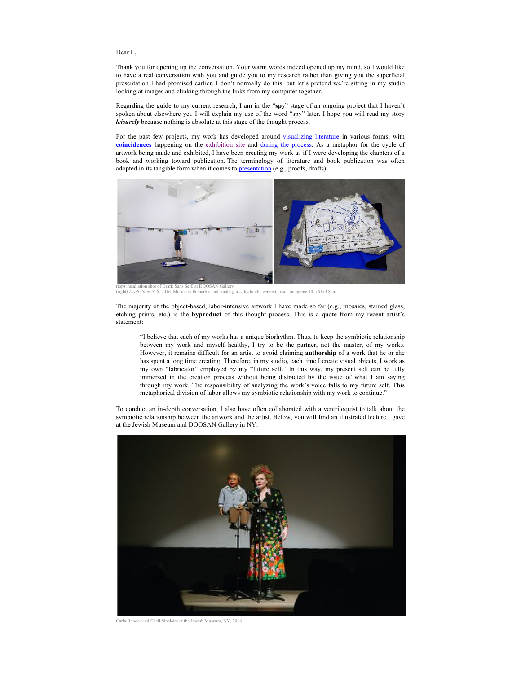Dear L,

Thank you for opening up the conversation. Your warm words indeed opened up my mind, so I would like to have a real conversation with you and guide you to my research rather than giving you the superficial presentation I had promised earlier. I don't normally do this, but let's pretend we're sitting in my studio looking at images and clinking through the links from my computer together.

Regarding the guide to my current research, I am in the "**spy**" stage of an ongoing project that I haven't spoken about elsewhere yet. I will explain my use of the word "spy" later. I hope you will read my story *leisurely* because nothing is absolute at this stage of the thought process.

For the past few projects, my work has developed around visualizing literature in various forms, with **coincidences** happening on the exhibition site and during the process. As a metaphor for the cycle of artwork being made and exhibited, I have been creating my work as if I were developing the chapters of a book and working toward publication. The terminology of literature and book publication was often adopted in its tangible form when it comes to **presentation** (e.g., proofs, drafts).



(top) installation shot of Draft: Sans Self, at DOOSAN Gallery (right*) Draft: Sans Self,* 2016, Mosaic with marble and smalti glass, hydraulic cement, resin, neoprene 101x61x3.8cm

The majority of the object-based, labor-intensive artwork I have made so far (e.g., mosaics, stained glass, etching prints, etc.) is the **byproduct** of this thought process. This is a quote from my recent artist's statement:

"I believe that each of my works has a unique biorhythm. Thus, to keep the symbiotic relationship between my work and myself healthy, I try to be the partner, not the master, of my works. However, it remains difficult for an artist to avoid claiming **authorship** of a work that he or she has spent a long time creating. Therefore, in my studio, each time I create visual objects, I work as my own "fabricator" employed by my "future self." In this way, my present self can be fully immersed in the creation process without being distracted by the issue of what I am saying through my work. The responsibility of analyzing the work's voice falls to my future self. This metaphorical division of labor allows my symbiotic relationship with my work to continue."

To conduct an in-depth conversation, I also have often collaborated with a ventriloquist to talk about the symbiotic relationship between the artwork and the artist. Below, you will find an illustrated lecture I gave at the Jewish Museum and DOOSAN Gallery in NY.



Carla Rhodes and Cecil Sinclaire at the Jewish Museum, NY, 2016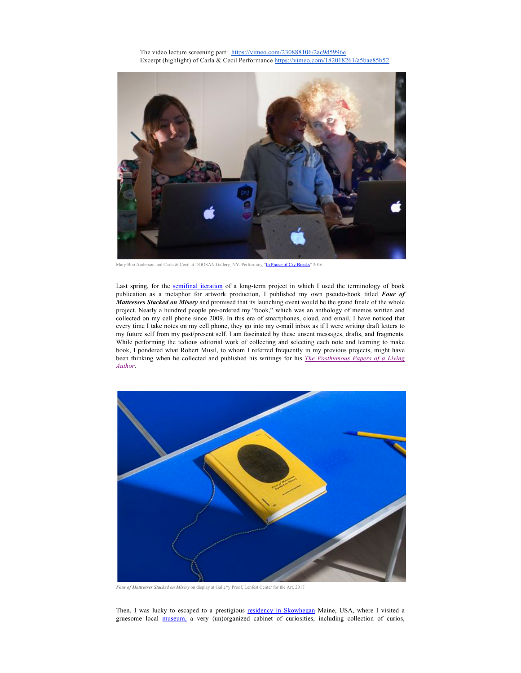The video lecture screening part: https://vimeo.com/230888106/2ac9d5996e Excerpt (highlight) of Carla & Cecil Performance https://vimeo.com/182018261/a5bae85b52



Mary Boo Anderson and Carla & Cecil at DOOSAN Gallery, NY. Performing "In Praise of Cry Breaks" 2016

Last spring, for the semifinal iteration of a long-term project in which I used the terminology of book publication as a metaphor for artwork production, I published my own pseudo-book titled *Four of Mattresses Stacked on Misery* and promised that its launching event would be the grand finale of the whole project. Nearly a hundred people pre-ordered my "book," which was an anthology of memos written and collected on my cell phone since 2009. In this era of smartphones, cloud, and email, I have noticed that every time I take notes on my cell phone, they go into my e-mail inbox as if I were writing draft letters to my future self from my past/present self. I am fascinated by these unsent messages, drafts, and fragments. While performing the tedious editorial work of collecting and selecting each note and learning to make book, I pondered what Robert Musil, to whom I referred frequently in my previous projects, might have been thinking when he collected and published his writings for his *The Posthumous Papers of a Living Author*.



*Four of Mattresses Stacked on Misery* on display at Galle\*y Proof, Lenfest Center for the Art. 2017

Then, I was lucky to escaped to a prestigious residency in Skowhegan Maine, USA, where I visited a gruesome local museum, a very (un)organized cabinet of curiosities, including collection of curios,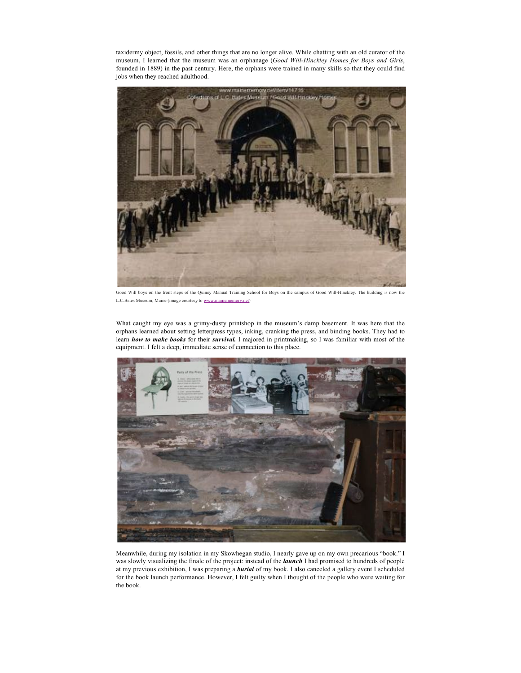taxidermy object, fossils, and other things that are no longer alive. While chatting with an old curator of the museum, I learned that the museum was an orphanage (*Good Will-Hinckley Homes for Boys and Girls*, founded in 1889) in the past century. Here, the orphans were trained in many skills so that they could find jobs when they reached adulthood.



Good Will boys on the front steps of the Quincy Manual Training School for Boys on the campus of Good Will-Hinckley. The building is now the L.C.Bates Museum, Maine (image courtesy to www.

What caught my eye was a grimy-dusty printshop in the museum's damp basement. It was here that the orphans learned about setting letterpress types, inking, cranking the press, and binding books. They had to learn *how to make books* for their *survival.* I majored in printmaking, so I was familiar with most of the equipment. I felt a deep, immediate sense of connection to this place.



Meanwhile, during my isolation in my Skowhegan studio, I nearly gave up on my own precarious "book." I was slowly visualizing the finale of the project: instead of the *launch* I had promised to hundreds of people at my previous exhibition, I was preparing a *burial* of my book. I also canceled a gallery event I scheduled for the book launch performance. However, I felt guilty when I thought of the people who were waiting for the book.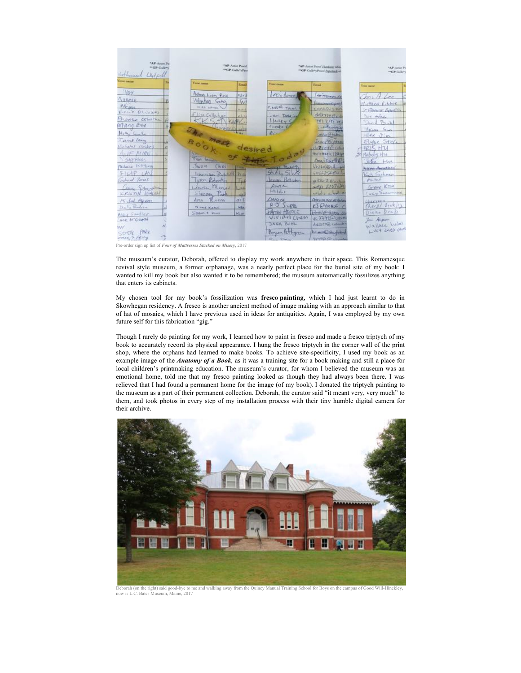| "AP-Artist Pa<br>"GP Gallery<br>Inthonical<br>District | *AP-Artist Proof<br>"GP-Galle"/Pro-                     | "AP-Artes Proof Herdeur ofts<br>"GP-Galle"sProof Paperlank of                         | "AP-Ariot Pr<br>HGP-Gdleh                         |   |
|--------------------------------------------------------|---------------------------------------------------------|---------------------------------------------------------------------------------------|---------------------------------------------------|---|
| <b>Cours manuel</b>                                    | <b>Your name</b><br>Ernal                               | <b>Your name</b><br>Estad                                                             | Yoor mone                                         | ь |
| <b>NDY</b><br><b>Augene</b>                            | Adam Lion Roy<br>city)<br>Nenhap Song<br>W <sub>2</sub> | <b>POR AUTRA</b><br><b>WATCHERS</b>                                                   | $h \circ f$ /dec                                  |   |
| <b>Negan</b><br>Lear plusing                           | WILL DAYAL<br><b>Mimit</b>                              | <b>Filters Disclaims</b><br><b>ENNA THOM</b><br><b>CHARGE KNOT</b>                    | Methen Ribbie<br>ST FRANK BANESS                  |   |
| hacke offering<br>Mary Goo                             | Eliza Callahar<br>$2.11 +$<br>$K \leq N$ KINK           | dd27990ch<br>-am Determine<br>HARRYS<br><b>HES Z (T) +T)</b><br>Vitente 1<br>interma  | Day House<br>and Bahl                             |   |
| Mother Lambe                                           | Jameson                                                 | Ri-<br>the Objection                                                                  | Malyan Sun<br>$H(x, \delta)$ im                   |   |
| and Leon<br>Uichalas Heskey                            | se most desired<br>BOOK                                 | Jean Privatory<br>$u = 210800144$                                                     | Elyse Stefa<br>FRIS HU                            |   |
| ACIF MIAN<br>SET PHAS                                  | Stone Limon                                             | <b>Husteher E114 yr</b><br>Emaisache                                                  | Melody Hu<br>John Hu                              |   |
| Athacca swartness<br>FILIP LAY                         | Jwon<br>$(h_0)$<br><b>Alberta</b><br>Forning Rotch F ha | Willotord<br>WI Mustly<br>5.46517<br>5452360010                                       | <b>Reserve Aventines</b><br>Rob Sihner            |   |
| Subnet Torres<br>Clay Saleman                          | uson Rebertin<br>away Merica<br><b>COLLE</b>            | enne Vietscher<br>1238024<br>ato 2107am<br>Anne                                       | Min tone<br>Grene Kim                             |   |
| KRISTIN HIGHANY<br>Hiddel Alexan                       | Siverna Pork<br>48<br>Rivera<br>Ann<br>a c-             | $110$ labe<br>netwie in book<br>DAKETA<br>DAKa zal OGF AG fa Fa                       | <b>COLY SCHOOLING</b><br><i><b>Sheeringen</b></i> |   |
| $D_n \nleq Ruhin$                                      | Ning Kohit<br>Nãe<br>Sammit Him<br>Winn                 | RJSvPb<br>EJ GYMNOF<br>HATTEN HOWDLE<br><b><i>UNTERFORMATION CO.</i></b>              | Chers/ Bent les<br>Diana Draft                    |   |
| Asty Sandler<br>ACK M'GOATH                            |                                                         | Vivian Chen<br>VC3390PLUM<br>DANA BUHL<br>LLZIZIE Colombin                            | Jesi Alijarr<br>Wallace Luder                     |   |
| W<br>SOOK PARK<br>once & Levy                          |                                                         | br.nex@shedobyl<br>Bryan lettigren<br>514956264<br>$S_{\text{max}}$ $S_{\text{beam}}$ | LUCY LIRD CAM                                     |   |

Pre-order sign up list of *Four of Mattresses Stacked on Misery*, 2017

The museum's curator, Deborah, offered to display my work anywhere in their space. This Romanesque revival style museum, a former orphanage, was a nearly perfect place for the burial site of my book: I wanted to kill my book but also wanted it to be remembered; the museum automatically fossilizes anything that enters its cabinets.

My chosen tool for my book's fossilization was **fresco painting**, which I had just learnt to do in Skowhegan residency. A fresco is another ancient method of image making with an approach similar to that of hat of mosaics, which I have previous used in ideas for antiquities. Again, I was employed by my own future self for this fabrication "gig."

Though I rarely do painting for my work, I learned how to paint in fresco and made a fresco triptych of my book to accurately record its physical appearance. I hung the fresco triptych in the corner wall of the print shop, where the orphans had learned to make books. To achieve site-specificity, I used my book as an example image of the *Anatomy of a Book,* as it was a training site for a book making and still a place for local children's printmaking education. The museum's curator, for whom I believed the museum was an emotional home, told me that my fresco painting looked as though they had always been there. I was relieved that I had found a permanent home for the image (of my book). I donated the triptych painting to the museum as a part of their permanent collection. Deborah, the curator said "it meant very, very much" to them, and took photos in every step of my installation process with their tiny humble digital camera for their archive.



Deborah (on the right) said good-bye to me and walking away from the Quincy Manual Training School for Boys on the campus of Good Will-Hinckley, now is L.C. Bates Museum, Maine, 2017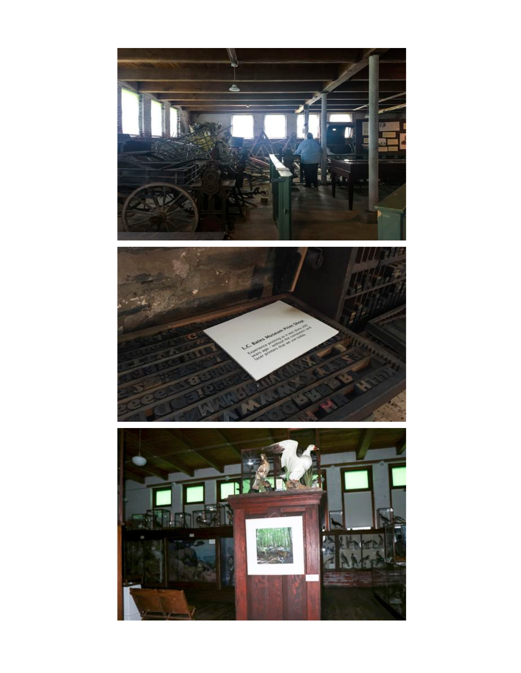



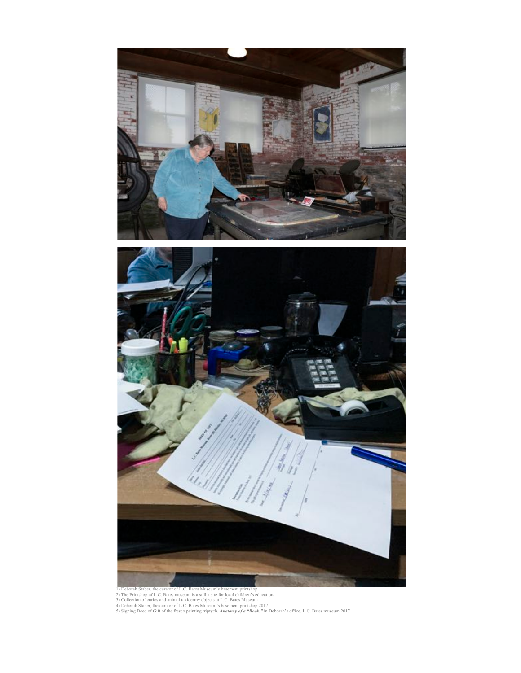



1) Deborah Staber, the curator of L.C. Bates Museum's basement printshop<br>2) The Printshop of L.C. Bates museum is a still a site for local children's education.<br>3) Collection of curios and animal taxidemy objects at L.C. B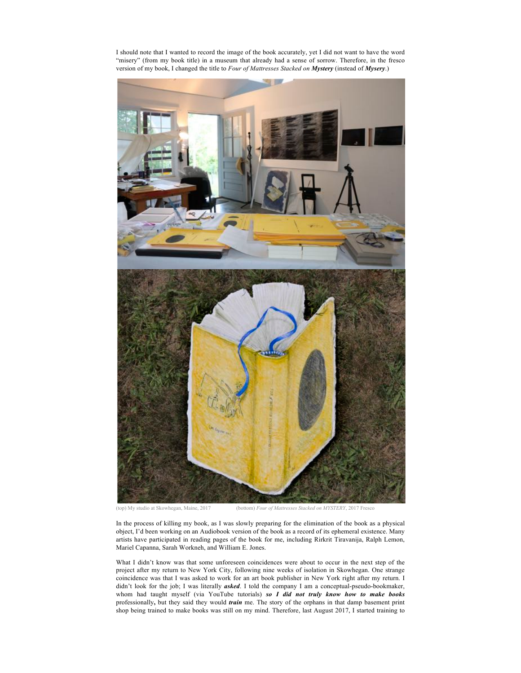I should note that I wanted to record the image of the book accurately, yet I did not want to have the word "misery" (from my book title) in a museum that already had a sense of sorrow. Therefore, in the fresco version of my book, I changed the title to *Four of Mattresses Stacked on Mystery* (instead of *Mysery*.)



(top) My studio at Skowhegan, Maine, 2017 (bottom) *Four of Mattresses Stacked on MYSTERY*, 2017 Fresco

In the process of killing my book, as I was slowly preparing for the elimination of the book as a physical object, I'd been working on an Audiobook version of the book as a record of its ephemeral existence. Many artists have participated in reading pages of the book for me, including Rirkrit Tiravanija, Ralph Lemon, Mariel Capanna, Sarah Workneh, and William E. Jones.

What I didn't know was that some unforeseen coincidences were about to occur in the next step of the project after my return to New York City, following nine weeks of isolation in Skowhegan. One strange coincidence was that I was asked to work for an art book publisher in New York right after my return. I didn't look for the job; I was literally *asked*. I told the company I am a conceptual-pseudo-bookmaker, whom had taught myself (via YouTube tutorials) *so I did not truly know how to make books* professionally**,** but they said they would *train* me. The story of the orphans in that damp basement print shop being trained to make books was still on my mind. Therefore, last August 2017, I started training to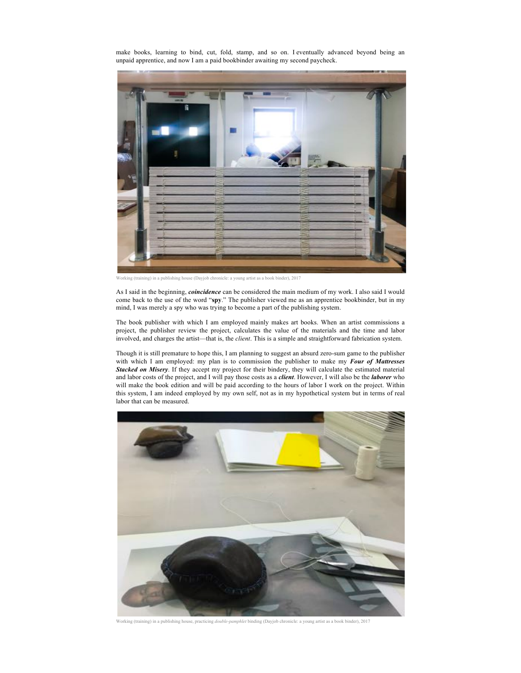make books, learning to bind, cut, fold, stamp, and so on. I eventually advanced beyond being an unpaid apprentice, and now I am a paid bookbinder awaiting my second paycheck.



Working (training) in a publishing house (Dayjob chronicle: a young artist as a book binder), 2017

As I said in the beginning, *coincidence* can be considered the main medium of my work. I also said I would come back to the use of the word "**spy**." The publisher viewed me as an apprentice bookbinder, but in my mind, I was merely a spy who was trying to become a part of the publishing system.

The book publisher with which I am employed mainly makes art books. When an artist commissions a project, the publisher review the project, calculates the value of the materials and the time and labor involved, and charges the artist—that is, the *client*. This is a simple and straightforward fabrication system.

Though it is still premature to hope this, I am planning to suggest an absurd zero-sum game to the publisher with which I am employed: my plan is to commission the publisher to make my *Four of Mattresses Stacked on Misery*. If they accept my project for their bindery, they will calculate the estimated material and labor costs of the project, and I will pay those costs as a *client*. However, I will also be the *laborer* who will make the book edition and will be paid according to the hours of labor I work on the project. Within this system, I am indeed employed by my own self, not as in my hypothetical system but in terms of real labor that can be measured.



Working (training) in a publishing house, practicing *double-pamphlet* binding (Dayjob chronicle: a young artist as a book binder), 2017